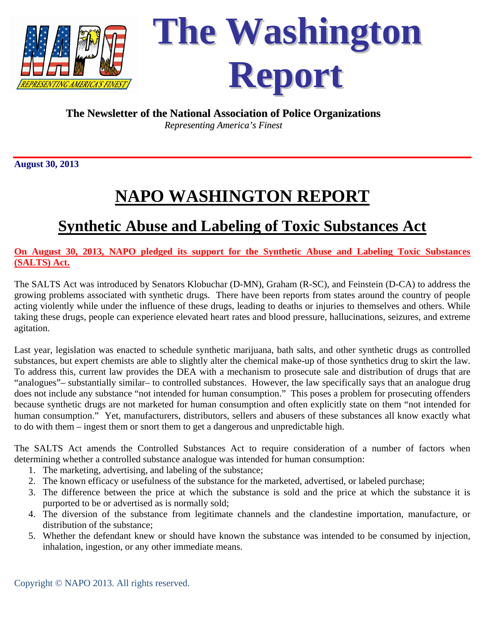

**The Washington Report**

**The Newsletter of the National Association of Police Organizations** *Representing America's Finest*

**August 30, 2013** 

## **NAPO WASHINGTON REPORT**

## **Synthetic Abuse and Labeling of Toxic Substances Act**

**On August 30, 2013, NAPO pledged its support for the Synthetic Abuse and Labeling Toxic Substances (SALTS) Act.** 

The SALTS Act was introduced by Senators Klobuchar (D-MN), Graham (R-SC), and Feinstein (D-CA) to address the growing problems associated with synthetic drugs. There have been reports from states around the country of people acting violently while under the influence of these drugs, leading to deaths or injuries to themselves and others. While taking these drugs, people can experience elevated heart rates and blood pressure, hallucinations, seizures, and extreme agitation.

Last year, legislation was enacted to schedule synthetic marijuana, bath salts, and other synthetic drugs as controlled substances, but expert chemists are able to slightly alter the chemical make-up of those synthetics drug to skirt the law. To address this, current law provides the DEA with a mechanism to prosecute sale and distribution of drugs that are "analogues"– substantially similar– to controlled substances. However, the law specifically says that an analogue drug does not include any substance "not intended for human consumption." This poses a problem for prosecuting offenders because synthetic drugs are not marketed for human consumption and often explicitly state on them "not intended for human consumption." Yet, manufacturers, distributors, sellers and abusers of these substances all know exactly what to do with them – ingest them or snort them to get a dangerous and unpredictable high.

The SALTS Act amends the Controlled Substances Act to require consideration of a number of factors when determining whether a controlled substance analogue was intended for human consumption:

- 1. The marketing, advertising, and labeling of the substance;
- 2. The known efficacy or usefulness of the substance for the marketed, advertised, or labeled purchase;
- 3. The difference between the price at which the substance is sold and the price at which the substance it is purported to be or advertised as is normally sold;
- 4. The diversion of the substance from legitimate channels and the clandestine importation, manufacture, or distribution of the substance;
- 5. Whether the defendant knew or should have known the substance was intended to be consumed by injection, inhalation, ingestion, or any other immediate means.

Copyright © NAPO 2013. All rights reserved.